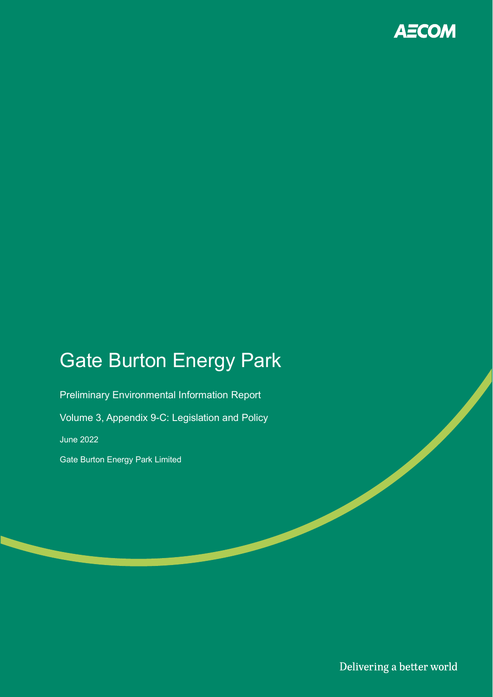

# Gate Burton Energy Park

Preliminary Environmental Information Report Volume 3, Appendix 9-C: Legislation and Policy June 2022 Gate Burton Energy Park Limited

Delivering a better world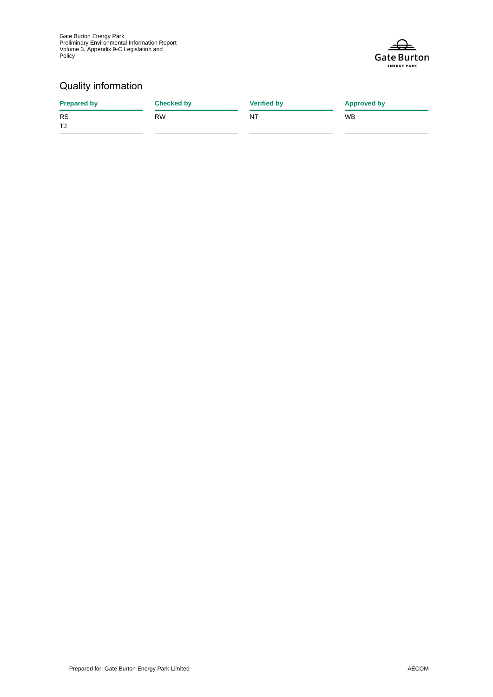Gate Burton Energy Park Preliminary Environmental Information Report Volume 3, Appendix 9-C Legislation and Policy



#### Quality information

| <b>Prepared by</b> | <b>Checked by</b> | <b>Verified by</b> | <b>Approved by</b> |
|--------------------|-------------------|--------------------|--------------------|
| <b>RS</b>          | <b>RW</b>         | NT                 | <b>WB</b>          |
| TJ                 |                   |                    |                    |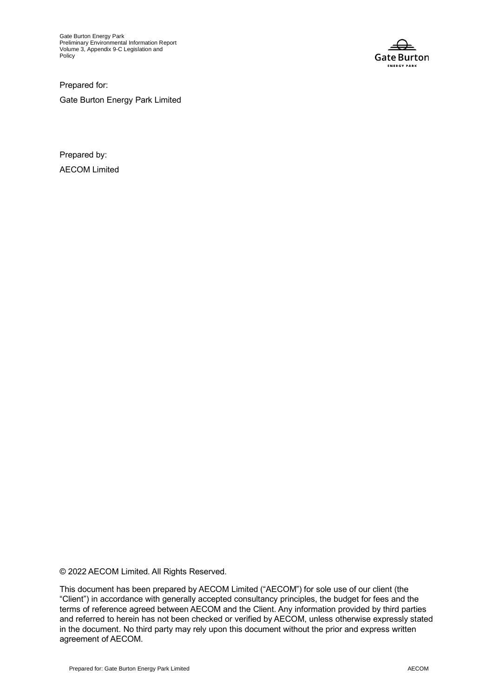Gate Burton Energy Park Preliminary Environmental Information Report Volume 3, Appendix 9-C Legislation and Policy



Prepared for: Gate Burton Energy Park Limited

Prepared by: AECOM Limited

© 2022 AECOM Limited. All Rights Reserved.

This document has been prepared by AECOM Limited ("AECOM") for sole use of our client (the "Client") in accordance with generally accepted consultancy principles, the budget for fees and the terms of reference agreed between AECOM and the Client. Any information provided by third parties and referred to herein has not been checked or verified by AECOM, unless otherwise expressly stated in the document. No third party may rely upon this document without the prior and express written agreement of AECOM.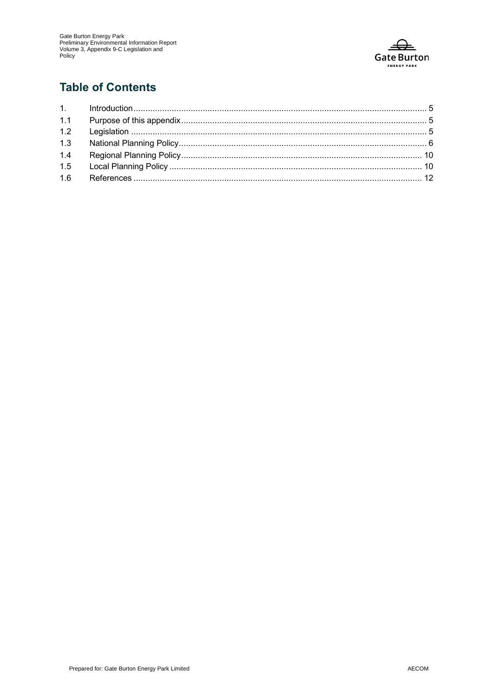

### **Table of Contents**

| 1.4 |  |
|-----|--|
|     |  |
|     |  |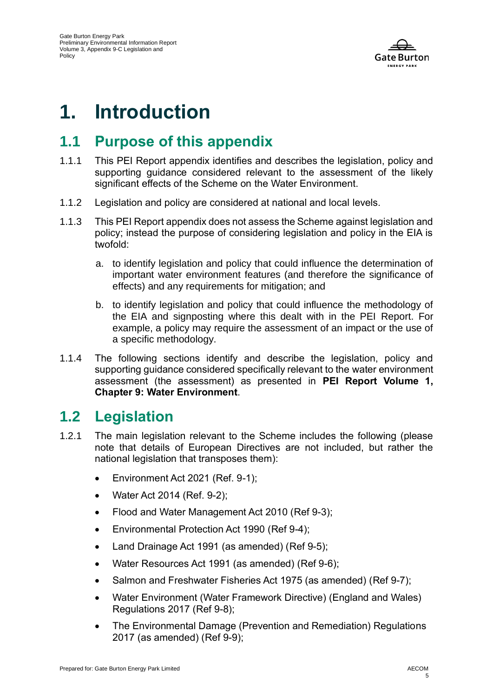

# **1. Introduction**

## **1.1 Purpose of this appendix**

- 1.1.1 This PEI Report appendix identifies and describes the legislation, policy and supporting guidance considered relevant to the assessment of the likely significant effects of the Scheme on the Water Environment.
- 1.1.2 Legislation and policy are considered at national and local levels.
- 1.1.3 This PEI Report appendix does not assess the Scheme against legislation and policy; instead the purpose of considering legislation and policy in the EIA is twofold:
	- a. to identify legislation and policy that could influence the determination of important water environment features (and therefore the significance of effects) and any requirements for mitigation; and
	- b. to identify legislation and policy that could influence the methodology of the EIA and signposting where this dealt with in the PEI Report. For example, a policy may require the assessment of an impact or the use of a specific methodology.
- 1.1.4 The following sections identify and describe the legislation, policy and supporting guidance considered specifically relevant to the water environment assessment (the assessment) as presented in **PEI Report Volume 1, Chapter 9: Water Environment**.

## **1.2 Legislation**

- 1.2.1 The main legislation relevant to the Scheme includes the following (please note that details of European Directives are not included, but rather the national legislation that transposes them):
	- Environment Act 2021 (Ref. 9-1);
	- Water Act 2014 (Ref. 9-2);
	- Flood and Water Management Act 2010 (Ref 9-3);
	- Environmental Protection Act 1990 (Ref 9-4);
	- Land Drainage Act 1991 (as amended) (Ref 9-5);
	- Water Resources Act 1991 (as amended) (Ref 9-6);
	- Salmon and Freshwater Fisheries Act 1975 (as amended) (Ref 9-7):
	- Water Environment (Water Framework Directive) (England and Wales) Regulations 2017 (Ref 9-8);
	- The Environmental Damage (Prevention and Remediation) Regulations 2017 (as amended) (Ref 9-9);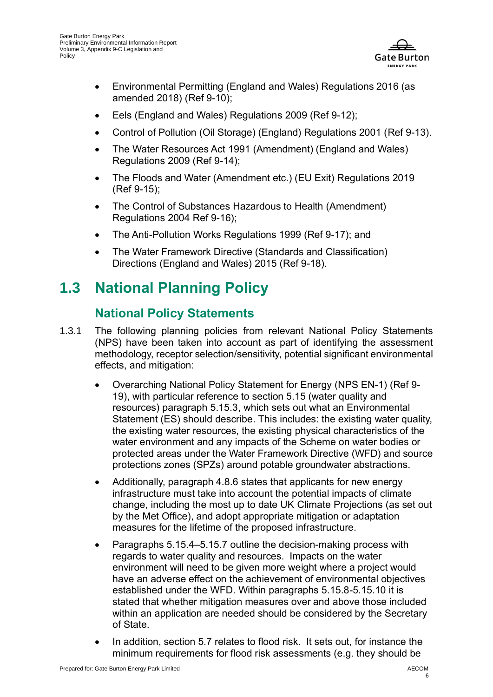

- Environmental Permitting (England and Wales) Regulations 2016 (as amended 2018) (Ref 9-10);
- Eels (England and Wales) Regulations 2009 (Ref 9-12);
- Control of Pollution (Oil Storage) (England) Regulations 2001 (Ref 9-13).
- The Water Resources Act 1991 (Amendment) (England and Wales) Regulations 2009 (Ref 9-14);
- The Floods and Water (Amendment etc.) (EU Exit) Regulations 2019 (Ref 9-15);
- The Control of Substances Hazardous to Health (Amendment) Regulations 2004 Ref 9-16);
- The Anti-Pollution Works Regulations 1999 (Ref 9-17); and
- The Water Framework Directive (Standards and Classification) Directions (England and Wales) 2015 (Ref 9-18).

# **1.3 National Planning Policy**

#### **National Policy Statements**

- 1.3.1 The following planning policies from relevant National Policy Statements (NPS) have been taken into account as part of identifying the assessment methodology, receptor selection/sensitivity, potential significant environmental effects, and mitigation:
	- Overarching National Policy Statement for Energy (NPS EN-1) (Ref 9- 19), with particular reference to section 5.15 (water quality and resources) paragraph 5.15.3, which sets out what an Environmental Statement (ES) should describe. This includes: the existing water quality, the existing water resources, the existing physical characteristics of the water environment and any impacts of the Scheme on water bodies or protected areas under the Water Framework Directive (WFD) and source protections zones (SPZs) around potable groundwater abstractions.
	- Additionally, paragraph 4.8.6 states that applicants for new energy infrastructure must take into account the potential impacts of climate change, including the most up to date UK Climate Projections (as set out by the Met Office), and adopt appropriate mitigation or adaptation measures for the lifetime of the proposed infrastructure.
	- Paragraphs 5.15.4–5.15.7 outline the decision-making process with regards to water quality and resources. Impacts on the water environment will need to be given more weight where a project would have an adverse effect on the achievement of environmental objectives established under the WFD. Within paragraphs 5.15.8-5.15.10 it is stated that whether mitigation measures over and above those included within an application are needed should be considered by the Secretary of State.
	- In addition, section 5.7 relates to flood risk. It sets out, for instance the minimum requirements for flood risk assessments (e.g. they should be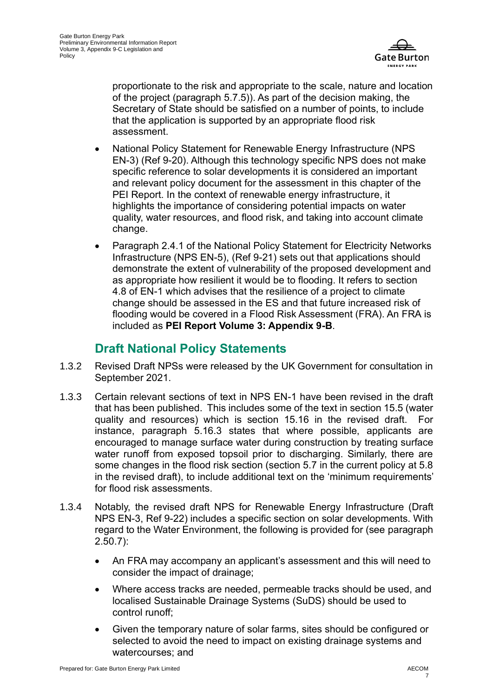

proportionate to the risk and appropriate to the scale, nature and location of the project (paragraph 5.7.5)). As part of the decision making, the Secretary of State should be satisfied on a number of points, to include that the application is supported by an appropriate flood risk assessment.

- National Policy Statement for Renewable Energy Infrastructure (NPS EN-3) (Ref 9-20). Although this technology specific NPS does not make specific reference to solar developments it is considered an important and relevant policy document for the assessment in this chapter of the PEI Report. In the context of renewable energy infrastructure, it highlights the importance of considering potential impacts on water quality, water resources, and flood risk, and taking into account climate change.
- Paragraph 2.4.1 of the National Policy Statement for Electricity Networks Infrastructure (NPS EN-5), (Ref 9-21) sets out that applications should demonstrate the extent of vulnerability of the proposed development and as appropriate how resilient it would be to flooding. It refers to section 4.8 of EN-1 which advises that the resilience of a project to climate change should be assessed in the ES and that future increased risk of flooding would be covered in a Flood Risk Assessment (FRA). An FRA is included as **PEI Report Volume 3: Appendix 9-B**.

#### **Draft National Policy Statements**

- 1.3.2 Revised Draft NPSs were released by the UK Government for consultation in September 2021.
- 1.3.3 Certain relevant sections of text in NPS EN-1 have been revised in the draft that has been published. This includes some of the text in section 15.5 (water quality and resources) which is section 15.16 in the revised draft. For instance, paragraph 5.16.3 states that where possible, applicants are encouraged to manage surface water during construction by treating surface water runoff from exposed topsoil prior to discharging. Similarly, there are some changes in the flood risk section (section 5.7 in the current policy at 5.8 in the revised draft), to include additional text on the 'minimum requirements' for flood risk assessments.
- 1.3.4 Notably, the revised draft NPS for Renewable Energy Infrastructure (Draft NPS EN-3, Ref 9-22) includes a specific section on solar developments. With regard to the Water Environment, the following is provided for (see paragraph 2.50.7):
	- An FRA may accompany an applicant's assessment and this will need to consider the impact of drainage;
	- Where access tracks are needed, permeable tracks should be used, and localised Sustainable Drainage Systems (SuDS) should be used to control runoff;
	- Given the temporary nature of solar farms, sites should be configured or selected to avoid the need to impact on existing drainage systems and watercourses; and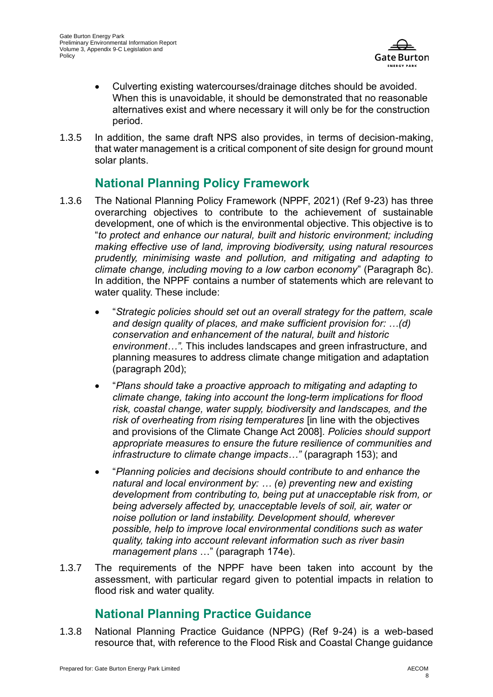

- Culverting existing watercourses/drainage ditches should be avoided. When this is unavoidable, it should be demonstrated that no reasonable alternatives exist and where necessary it will only be for the construction period.
- 1.3.5 In addition, the same draft NPS also provides, in terms of decision-making, that water management is a critical component of site design for ground mount solar plants.

#### **National Planning Policy Framework**

- 1.3.6 The National Planning Policy Framework (NPPF, 2021) (Ref 9-23) has three overarching objectives to contribute to the achievement of sustainable development, one of which is the environmental objective. This objective is to "*to protect and enhance our natural, built and historic environment; including making effective use of land, improving biodiversity, using natural resources prudently, minimising waste and pollution, and mitigating and adapting to climate change, including moving to a low carbon economy*" (Paragraph 8c). In addition, the NPPF contains a number of statements which are relevant to water quality. These include:
	- "*Strategic policies should set out an overall strategy for the pattern, scale and design quality of places, and make sufficient provision for: …(d) conservation and enhancement of the natural, built and historic environment…".* This includes landscapes and green infrastructure, and planning measures to address climate change mitigation and adaptation (paragraph 20d);
	- "*Plans should take a proactive approach to mitigating and adapting to climate change, taking into account the long-term implications for flood risk, coastal change, water supply, biodiversity and landscapes, and the risk of overheating from rising temperatures* [in line with the objectives and provisions of the Climate Change Act 2008]*. Policies should support appropriate measures to ensure the future resilience of communities and infrastructure to climate change impacts…"* (paragraph 153); and
	- "*Planning policies and decisions should contribute to and enhance the natural and local environment by: … (e) preventing new and existing development from contributing to, being put at unacceptable risk from, or being adversely affected by, unacceptable levels of soil, air, water or noise pollution or land instability. Development should, wherever possible, help to improve local environmental conditions such as water quality, taking into account relevant information such as river basin management plans* …" (paragraph 174e).
- 1.3.7 The requirements of the NPPF have been taken into account by the assessment, with particular regard given to potential impacts in relation to flood risk and water quality.

#### **National Planning Practice Guidance**

1.3.8 National Planning Practice Guidance (NPPG) (Ref 9-24) is a web-based resource that, with reference to the Flood Risk and Coastal Change guidance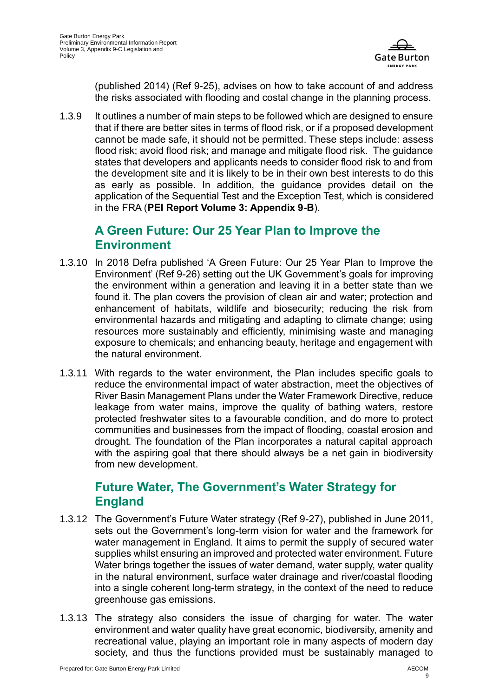

(published 2014) (Ref 9-25), advises on how to take account of and address the risks associated with flooding and costal change in the planning process.

1.3.9 It outlines a number of main steps to be followed which are designed to ensure that if there are better sites in terms of flood risk, or if a proposed development cannot be made safe, it should not be permitted. These steps include: assess flood risk; avoid flood risk; and manage and mitigate flood risk. The guidance states that developers and applicants needs to consider flood risk to and from the development site and it is likely to be in their own best interests to do this as early as possible. In addition, the guidance provides detail on the application of the Sequential Test and the Exception Test, which is considered in the FRA (**PEI Report Volume 3: Appendix 9-B**).

#### **A Green Future: Our 25 Year Plan to Improve the Environment**

- 1.3.10 In 2018 Defra published 'A Green Future: Our 25 Year Plan to Improve the Environment' (Ref 9-26) setting out the UK Government's goals for improving the environment within a generation and leaving it in a better state than we found it. The plan covers the provision of clean air and water; protection and enhancement of habitats, wildlife and biosecurity; reducing the risk from environmental hazards and mitigating and adapting to climate change; using resources more sustainably and efficiently, minimising waste and managing exposure to chemicals; and enhancing beauty, heritage and engagement with the natural environment.
- 1.3.11 With regards to the water environment, the Plan includes specific goals to reduce the environmental impact of water abstraction, meet the objectives of River Basin Management Plans under the Water Framework Directive, reduce leakage from water mains, improve the quality of bathing waters, restore protected freshwater sites to a favourable condition, and do more to protect communities and businesses from the impact of flooding, coastal erosion and drought. The foundation of the Plan incorporates a natural capital approach with the aspiring goal that there should always be a net gain in biodiversity from new development.

#### **Future Water, The Government's Water Strategy for England**

- 1.3.12 The Government's Future Water strategy (Ref 9-27), published in June 2011, sets out the Government's long-term vision for water and the framework for water management in England. It aims to permit the supply of secured water supplies whilst ensuring an improved and protected water environment. Future Water brings together the issues of water demand, water supply, water quality in the natural environment, surface water drainage and river/coastal flooding into a single coherent long-term strategy, in the context of the need to reduce greenhouse gas emissions.
- 1.3.13 The strategy also considers the issue of charging for water. The water environment and water quality have great economic, biodiversity, amenity and recreational value, playing an important role in many aspects of modern day society, and thus the functions provided must be sustainably managed to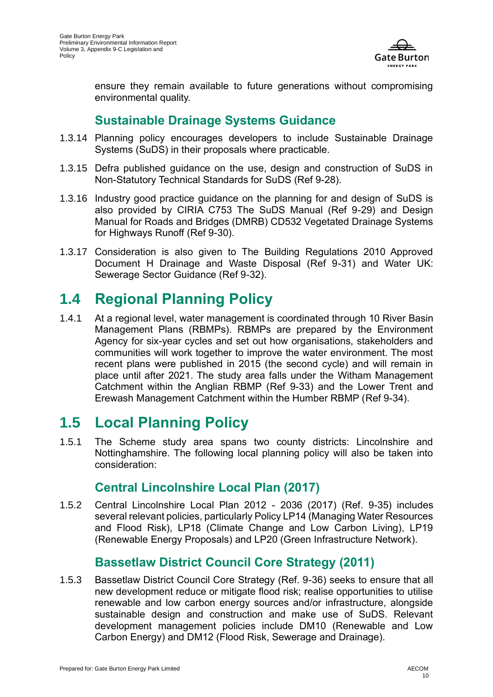

ensure they remain available to future generations without compromising environmental quality.

#### **Sustainable Drainage Systems Guidance**

- 1.3.14 Planning policy encourages developers to include Sustainable Drainage Systems (SuDS) in their proposals where practicable.
- 1.3.15 Defra published guidance on the use, design and construction of SuDS in Non-Statutory Technical Standards for SuDS (Ref 9-28).
- 1.3.16 Industry good practice guidance on the planning for and design of SuDS is also provided by CIRIA C753 The SuDS Manual (Ref 9-29) and Design Manual for Roads and Bridges (DMRB) CD532 Vegetated Drainage Systems for Highways Runoff (Ref 9-30).
- 1.3.17 Consideration is also given to The Building Regulations 2010 Approved Document H Drainage and Waste Disposal (Ref 9-31) and Water UK: Sewerage Sector Guidance (Ref 9-32).

## **1.4 Regional Planning Policy**

1.4.1 At a regional level, water management is coordinated through 10 River Basin Management Plans (RBMPs). RBMPs are prepared by the Environment Agency for six-year cycles and set out how organisations, stakeholders and communities will work together to improve the water environment. The most recent plans were published in 2015 (the second cycle) and will remain in place until after 2021. The study area falls under the Witham Management Catchment within the Anglian RBMP (Ref 9-33) and the Lower Trent and Erewash Management Catchment within the Humber RBMP (Ref 9-34).

## **1.5 Local Planning Policy**

1.5.1 The Scheme study area spans two county districts: Lincolnshire and Nottinghamshire. The following local planning policy will also be taken into consideration:

#### **Central Lincolnshire Local Plan (2017)**

1.5.2 Central Lincolnshire Local Plan 2012 - 2036 (2017) (Ref. 9-35) includes several relevant policies, particularly Policy LP14 (Managing Water Resources and Flood Risk), LP18 (Climate Change and Low Carbon Living), LP19 (Renewable Energy Proposals) and LP20 (Green Infrastructure Network).

### **Bassetlaw District Council Core Strategy (2011)**

1.5.3 Bassetlaw District Council Core Strategy (Ref. 9-36) seeks to ensure that all new development reduce or mitigate flood risk; realise opportunities to utilise renewable and low carbon energy sources and/or infrastructure, alongside sustainable design and construction and make use of SuDS. Relevant development management policies include DM10 (Renewable and Low Carbon Energy) and DM12 (Flood Risk, Sewerage and Drainage).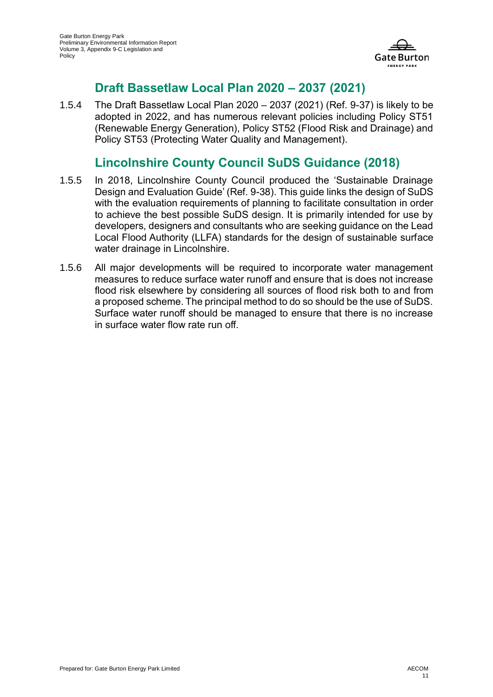

#### **Draft Bassetlaw Local Plan 2020 – 2037 (2021)**

1.5.4 The Draft Bassetlaw Local Plan 2020 – 2037 (2021) (Ref. 9-37) is likely to be adopted in 2022, and has numerous relevant policies including Policy ST51 (Renewable Energy Generation), Policy ST52 (Flood Risk and Drainage) and Policy ST53 (Protecting Water Quality and Management).

#### **Lincolnshire County Council SuDS Guidance (2018)**

- 1.5.5 In 2018, Lincolnshire County Council produced the 'Sustainable Drainage Design and Evaluation Guide' (Ref. 9-38). This guide links the design of SuDS with the evaluation requirements of planning to facilitate consultation in order to achieve the best possible SuDS design. It is primarily intended for use by developers, designers and consultants who are seeking guidance on the Lead Local Flood Authority (LLFA) standards for the design of sustainable surface water drainage in Lincolnshire.
- 1.5.6 All major developments will be required to incorporate water management measures to reduce surface water runoff and ensure that is does not increase flood risk elsewhere by considering all sources of flood risk both to and from a proposed scheme. The principal method to do so should be the use of SuDS. Surface water runoff should be managed to ensure that there is no increase in surface water flow rate run off.